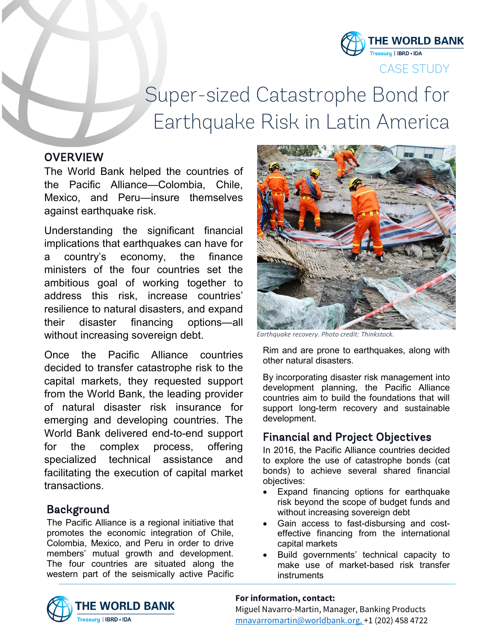

CASE STUDY

# Super-sized Catastrophe Bond for Earthquake Risk in Latin America

## **OVERVIEW**

The World Bank helped the countries of the Pacific Alliance—Colombia, Chile, Mexico, and Peru—insure themselves against earthquake risk.

Understanding the significant financial implications that earthquakes can have for a country's economy, the finance ministers of the four countries set the ambitious goal of working together to address this risk, increase countries' resilience to natural disasters, and expand their disaster financing options—all without increasing sovereign debt.

Once the Pacific Alliance countries decided to transfer catastrophe risk to the capital markets, they requested support from the World Bank, the leading provider of natural disaster risk insurance for emerging and developing countries. The World Bank delivered end-to-end support for the complex process, offering specialized technical assistance and facilitating the execution of capital market transactions.

# Background

The Pacific Alliance is a regional initiative that promotes the economic integration of Chile, Colombia, Mexico, and Peru in order to drive members' mutual growth and development. The four countries are situated along the western part of the seismically active Pacific



*Earthquake recovery. Photo credit: Thinkstock.*

Rim and are prone to earthquakes, along with other natural disasters.

By incorporating disaster risk management into development planning, the Pacific Alliance countries aim to build the foundations that will support long-term recovery and sustainable development.

## Financial and Project Objectives

In 2016, the Pacific Alliance countries decided to explore the use of catastrophe bonds (cat bonds) to achieve several shared financial objectives:

- Expand financing options for earthquake risk beyond the scope of budget funds and without increasing sovereign debt
- Gain access to fast-disbursing and costeffective financing from the international capital markets
- Build governments' technical capacity to make use of market-based risk transfer instruments



### **For information, contact:**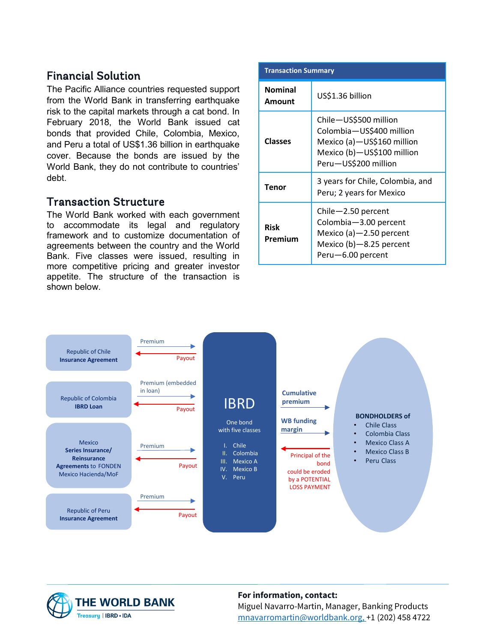# Financial Solution

The Pacific Alliance countries requested support from the World Bank in transferring earthquake risk to the capital markets through a cat bond. In February 2018, the World Bank issued cat bonds that provided Chile, Colombia, Mexico, and Peru a total of US\$1.36 billion in earthquake cover. Because the bonds are issued by the World Bank, they do not contribute to countries' debt.

## Transaction Structure

The World Bank worked with each government to accommodate its legal and regulatory framework and to customize documentation of agreements between the country and the World Bank. Five classes were issued, resulting in more competitive pricing and greater investor appetite. The structure of the transaction is shown below.

| <b>Transaction Summary</b> |                                                                                                                                       |
|----------------------------|---------------------------------------------------------------------------------------------------------------------------------------|
| <b>Nominal</b><br>Amount   | US\$1.36 billion                                                                                                                      |
| <b>Classes</b>             | Chile-US\$500 million<br>Colombia-US\$400 million<br>Mexico (a)-US\$160 million<br>Mexico (b)-US\$100 million<br>Peru-US\$200 million |
| Tenor                      | 3 years for Chile, Colombia, and<br>Peru; 2 years for Mexico                                                                          |
| <b>Risk</b><br>Premium     | $Chile - 2.50$ percent<br>Colombia-3.00 percent<br>Mexico (a) $-2.50$ percent<br>Mexico $(b)$ -8.25 percent<br>Peru-6.00 percent      |





### **For information, contact:**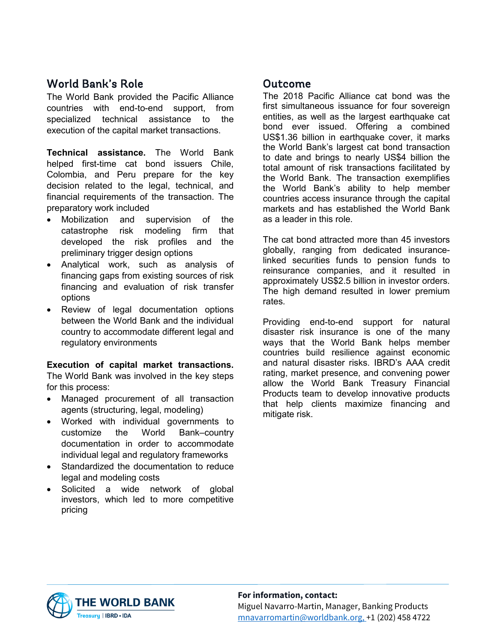# World Bank's Role

The World Bank provided the Pacific Alliance countries with end-to-end support, from specialized technical assistance to the execution of the capital market transactions.

**Technical assistance.** The World Bank helped first-time cat bond issuers Chile, Colombia, and Peru prepare for the key decision related to the legal, technical, and financial requirements of the transaction. The preparatory work included

- Mobilization and supervision of the catastrophe risk modeling firm that developed the risk profiles and the preliminary trigger design options
- Analytical work, such as analysis of financing gaps from existing sources of risk financing and evaluation of risk transfer options
- Review of legal documentation options between the World Bank and the individual country to accommodate different legal and regulatory environments

## **Execution of capital market transactions.**

The World Bank was involved in the key steps for this process:

- Managed procurement of all transaction agents (structuring, legal, modeling)
- Worked with individual governments to customize the World Bank–country documentation in order to accommodate individual legal and regulatory frameworks
- Standardized the documentation to reduce legal and modeling costs
- Solicited a wide network of global investors, which led to more competitive pricing

# Outcome

The 2018 Pacific Alliance cat bond was the first simultaneous issuance for four sovereign entities, as well as the largest earthquake cat bond ever issued. Offering a combined US\$1.36 billion in earthquake cover, it marks the World Bank's largest cat bond transaction to date and brings to nearly US\$4 billion the total amount of risk transactions facilitated by the World Bank. The transaction exemplifies the World Bank's ability to help member countries access insurance through the capital markets and has established the World Bank as a leader in this role.

The cat bond attracted more than 45 investors globally, ranging from dedicated insurancelinked securities funds to pension funds to reinsurance companies, and it resulted in approximately US\$2.5 billion in investor orders. The high demand resulted in lower premium rates.

Providing end-to-end support for natural disaster risk insurance is one of the many ways that the World Bank helps member countries build resilience against economic and natural disaster risks. IBRD's AAA credit rating, market presence, and convening power allow the World Bank Treasury Financial Products team to develop innovative products that help clients maximize financing and mitigate risk.



#### **For information, contact:**